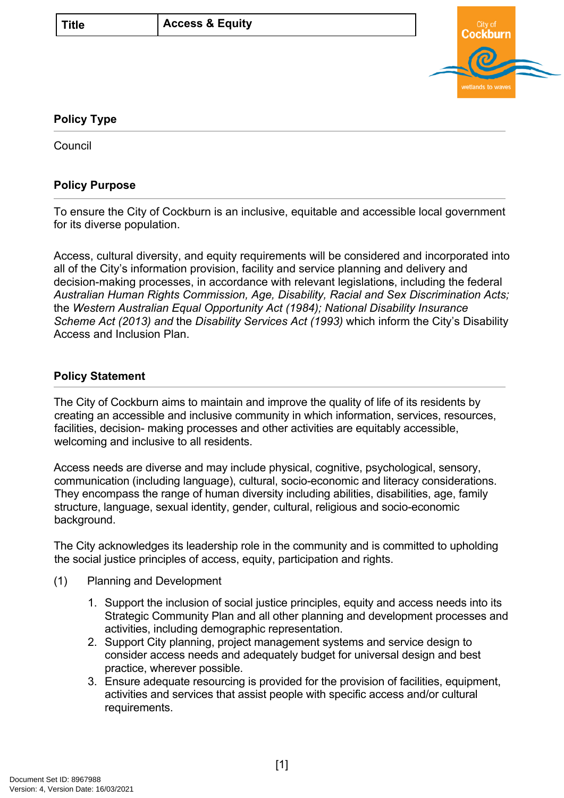| v.<br>٠<br>۰,<br>۰. |
|---------------------|
|---------------------|



## **Policy Type**

**Council** 

## **Policy Purpose**

To ensure the City of Cockburn is an inclusive, equitable and accessible local government for its diverse population.

Access, cultural diversity, and equity requirements will be considered and incorporated into all of the City's information provision, facility and service planning and delivery and decision-making processes, in accordance with relevant legislations, including the federal *Australian Human Rights Commission, Age, Disability, Racial and Sex Discrimination Acts;*  the *Western Australian Equal Opportunity Act (1984); National Disability Insurance Scheme Act (2013) and* the *Disability Services Act (1993)* which inform the City's Disability Access and Inclusion Plan.

## **[Policy Statement](#page-0-0)**

<span id="page-0-0"></span>The City of Cockburn aims to maintain and improve the quality of life of its residents by creating an accessible and inclusive community in which information, services, resources, facilities, decision- making processes and other activities are equitably accessible, welcoming and inclusive to all residents.

Access needs are diverse and may include physical, cognitive, psychological, sensory, communication (including language), cultural, socio-economic and literacy considerations. They encompass the range of human diversity including abilities, disabilities, age, family structure, language, sexual identity, gender, cultural, religious and socio-economic background.

The City acknowledges its leadership role in the community and is committed to upholding the social justice principles of access, equity, participation and rights.

- (1) Planning and Development
	- 1. Support the inclusion of social justice principles, equity and access needs into its Strategic Community Plan and all other planning and development processes and activities, including demographic representation.
	- 2. Support City planning, project management systems and service design to consider access needs and adequately budget for universal design and best practice, wherever possible.
	- 3. Ensure adequate resourcing is provided for the provision of facilities, equipment, activities and services that assist people with specific access and/or cultural requirements.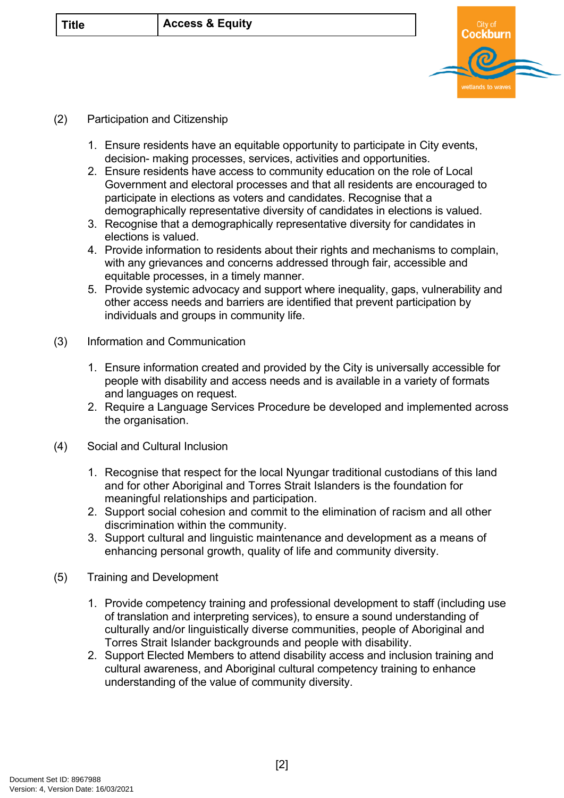| v.<br>۰,<br>٠<br>۰. |
|---------------------|
|---------------------|



## (2) Participation and Citizenship

- 1. Ensure residents have an equitable opportunity to participate in City events, decision- making processes, services, activities and opportunities.
- 2. Ensure residents have access to community education on the role of Local Government and electoral processes and that all residents are encouraged to participate in elections as voters and candidates. Recognise that a demographically representative diversity of candidates in elections is valued.
- 3. Recognise that a demographically representative diversity for candidates in elections is valued.
- 4. Provide information to residents about their rights and mechanisms to complain, with any grievances and concerns addressed through fair, accessible and equitable processes, in a timely manner.
- 5. Provide systemic advocacy and support where inequality, gaps, vulnerability and other access needs and barriers are identified that prevent participation by individuals and groups in community life.
- (3) Information and Communication
	- 1. Ensure information created and provided by the City is universally accessible for people with disability and access needs and is available in a variety of formats and languages on request.
	- 2. Require a Language Services Procedure be developed and implemented across the organisation.
- (4) Social and Cultural Inclusion
	- 1. Recognise that respect for the local Nyungar traditional custodians of this land and for other Aboriginal and Torres Strait Islanders is the foundation for meaningful relationships and participation.
	- 2. Support social cohesion and commit to the elimination of racism and all other discrimination within the community.
	- 3. Support cultural and linguistic maintenance and development as a means of enhancing personal growth, quality of life and community diversity.
- (5) Training and Development
	- 1. Provide competency training and professional development to staff (including use of translation and interpreting services), to ensure a sound understanding of culturally and/or linguistically diverse communities, people of Aboriginal and Torres Strait Islander backgrounds and people with disability.
	- 2. Support Elected Members to attend disability access and inclusion training and cultural awareness, and Aboriginal cultural competency training to enhance understanding of the value of community diversity. **<sup>2</sup>**